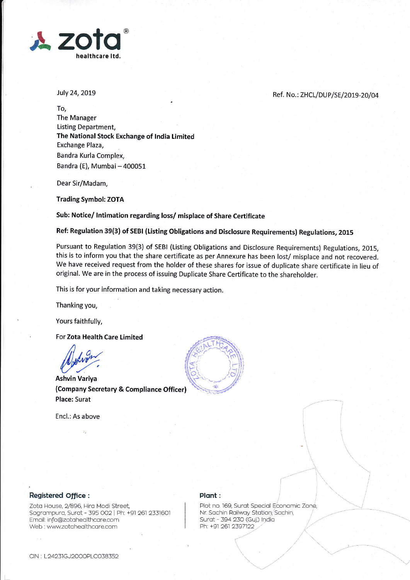

July 24, 2019

## Ref. No.: ZHCL/DUP/SE/2019-20/04

To, The Manager Listing Department, The National Stock Exchange of India Limited Exchange Plaza, Bandra Kurla Complex, Bandra (E), Mumbai - 400051

Dear Sir/Madam,

**Trading Symbol: ZOTA** 

Sub: Notice/ Intimation regarding loss/ misplace of Share Certificate

Ref: Regulation 39(3) of SEBI (Listing Obligations and Disclosure Requirements) Regulations, 2015

Pursuant to Regulation 39(3) of SEBI (Listing Obligations and Disclosure Requirements) Regulations, 2015, this is to inform you that the share certificate as per Annexure has been lost/ misplace and not recovered. We have received request from the holder of these shares for issue of duplicate share certificate in lieu of original. We are in the process of issuing Duplicate Share Certificate to the shareholder.

This is for your information and taking necessary action.

Thanking you,

Yours faithfully,

For Zota Health Care Limited

**Ashvin Variya** (Company Secretary & Compliance Officer) **Place: Surat** 

Encl.: As above



Registered Office :

Zota House, 2/896, Hira Modi Street, Sagrampura, Surat - 395 002 | Ph: +91 261 2331601 Email: info@zotahealthcare.com Web: www.zotahealthcare.com

## Plant:

Plot no. 169, Surat Special Economic Zone, Nr. Sachin Railway Station, Sachin, Surat - 394 230 (Guj.) India Ph: +91 261 2397122